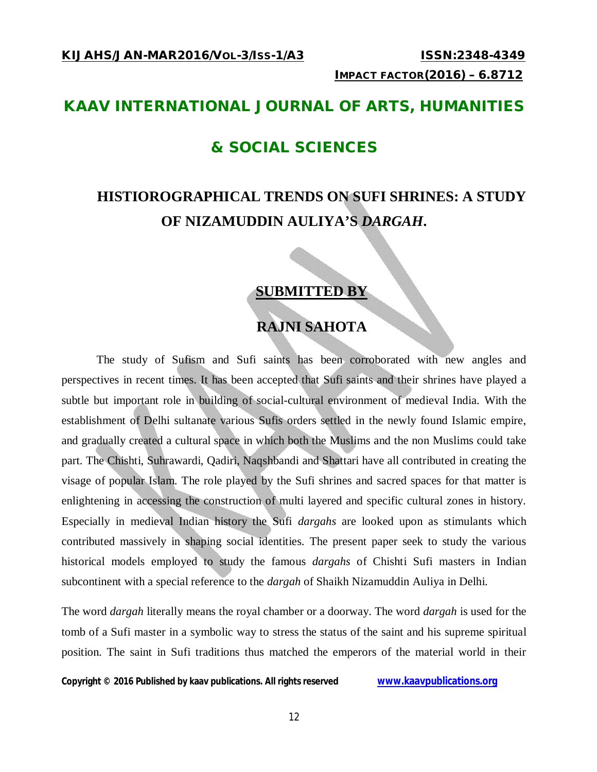### **KAAV INTERNATIONAL JOURNAL OF ARTS, HUMANITIES**

### **& SOCIAL SCIENCES**

### **HISTIOROGRAPHICAL TRENDS ON SUFI SHRINES: A STUDY OF NIZAMUDDIN AULIYA'S** *DARGAH***.**

### **SUBMITTED BY**

### **RAJNI SAHOTA**

The study of Sufism and Sufi saints has been corroborated with new angles and perspectives in recent times. It has been accepted that Sufi saints and their shrines have played a subtle but important role in building of social-cultural environment of medieval India. With the establishment of Delhi sultanate various Sufis orders settled in the newly found Islamic empire, and gradually created a cultural space in which both the Muslims and the non Muslims could take part. The Chishti, Suhrawardi, Qadiri, Naqshbandi and Shattari have all contributed in creating the visage of popular Islam. The role played by the Sufi shrines and sacred spaces for that matter is enlightening in accessing the construction of multi layered and specific cultural zones in history. Especially in medieval Indian history the Sufi *dargahs* are looked upon as stimulants which contributed massively in shaping social identities. The present paper seek to study the various historical models employed to study the famous *dargahs* of Chishti Sufi masters in Indian subcontinent with a special reference to the *dargah* of Shaikh Nizamuddin Auliya in Delhi.

The word *dargah* literally means the royal chamber or a doorway. The word *dargah* is used for the tomb of a Sufi master in a symbolic way to stress the status of the saint and his supreme spiritual position. The saint in Sufi traditions thus matched the emperors of the material world in their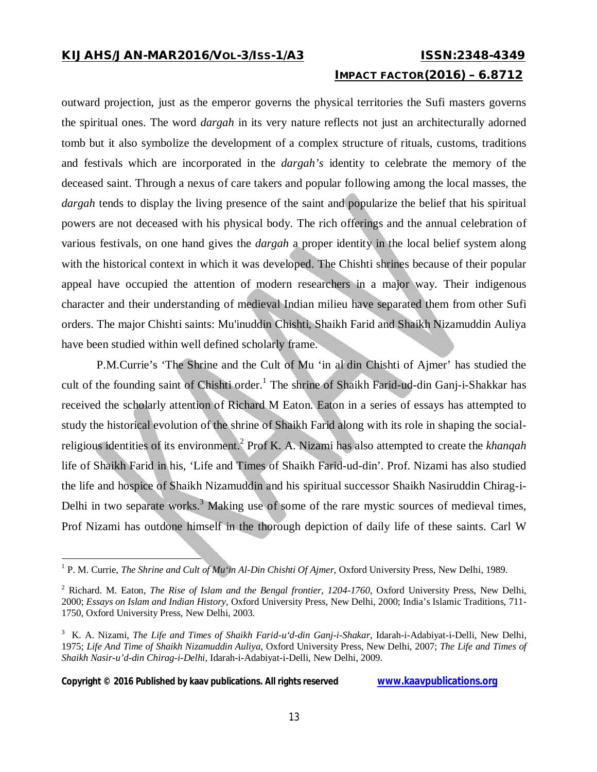## **IMPACT FACTOR(2016) – 6.8712**

outward projection, just as the emperor governs the physical territories the Sufi masters governs the spiritual ones. The word *dargah* in its very nature reflects not just an architecturally adorned tomb but it also symbolize the development of a complex structure of rituals, customs, traditions and festivals which are incorporated in the *dargah's* identity to celebrate the memory of the deceased saint. Through a nexus of care takers and popular following among the local masses, the *dargah* tends to display the living presence of the saint and popularize the belief that his spiritual powers are not deceased with his physical body. The rich offerings and the annual celebration of various festivals, on one hand gives the *dargah* a proper identity in the local belief system along with the historical context in which it was developed. The Chishti shrines because of their popular appeal have occupied the attention of modern researchers in a major way. Their indigenous character and their understanding of medieval Indian milieu have separated them from other Sufi orders. The major Chishti saints: Mu'inuddin Chishti, Shaikh Farid and Shaikh Nizamuddin Auliya have been studied within well defined scholarly frame.

P.M.Currie's 'The Shrine and the Cult of Mu 'in al din Chishti of Ajmer' has studied the cult of the founding saint of Chishti order.<sup>1</sup> The shrine of Shaikh Farid-ud-din Ganj-i-Shakkar has received the scholarly attention of Richard M Eaton. Eaton in a series of essays has attempted to study the historical evolution of the shrine of Shaikh Farid along with its role in shaping the socialreligious identities of its environment.<sup>2</sup> Prof K. A. Nizami has also attempted to create the *khanqah* life of Shaikh Farid in his, 'Life and Times of Shaikh Farid-ud-din'. Prof. Nizami has also studied the life and hospice of Shaikh Nizamuddin and his spiritual successor Shaikh Nasiruddin Chirag-i-Delhi in two separate works.<sup>3</sup> Making use of some of the rare mystic sources of medieval times, Prof Nizami has outdone himself in the thorough depiction of daily life of these saints. Carl W

 1 P. M. Currie, *The Shrine and Cult of Mu'in Al-Din Chishti Of Ajmer*, Oxford University Press, New Delhi, 1989.

<sup>2</sup> Richard. M. Eaton, *The Rise of Islam and the Bengal frontier, 1204-1760,* Oxford University Press, New Delhi, 2000; *Essays on Islam and Indian History*, Oxford University Press, New Delhi, 2000; India's Islamic Traditions, 711- 1750, Oxford University Press, New Delhi, 2003.

<sup>3</sup> K. A. Nizami, *The Life and Times of Shaikh Farid-u'd-din Ganj-i-Shakar*, Idarah-i-Adabiyat-i-Delli, New Delhi, 1975; *Life And Time of Shaikh Nizamuddin Auliya*, Oxford University Press, New Delhi, 2007; *The Life and Times of Shaikh Nasir-u'd-din Chirag-i-Delhi*, Idarah-i-Adabiyat-i-Delli, New Delhi, 2009.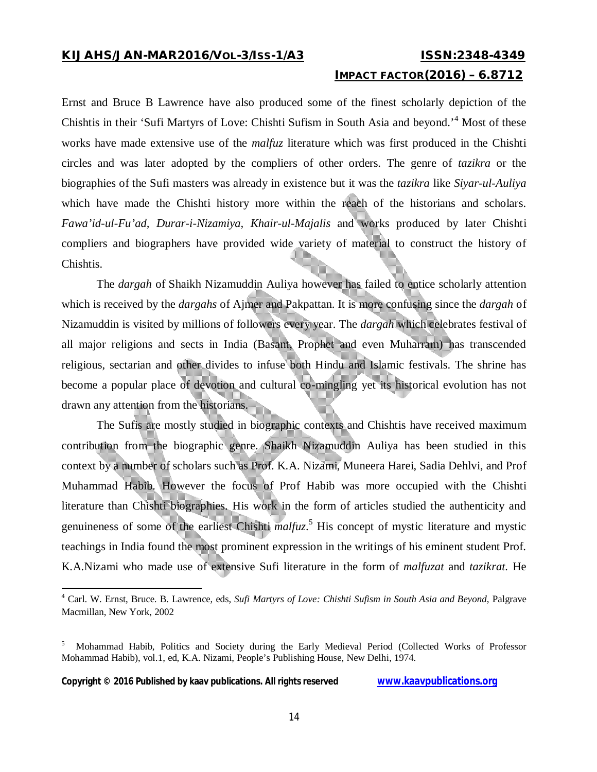### **IMPACT FACTOR(2016) – 6.8712**

Ernst and Bruce B Lawrence have also produced some of the finest scholarly depiction of the Chishtis in their 'Sufi Martyrs of Love: Chishti Sufism in South Asia and beyond.'<sup>4</sup> Most of these works have made extensive use of the *malfuz* literature which was first produced in the Chishti circles and was later adopted by the compliers of other orders. The genre of *tazikra* or the biographies of the Sufi masters was already in existence but it was the *tazikra* like *Siyar-ul-Auliya* which have made the Chishti history more within the reach of the historians and scholars. *Fawa'id-ul-Fu'ad, Durar-i-Nizamiya, Khair-ul-Majalis* and works produced by later Chishti compliers and biographers have provided wide variety of material to construct the history of Chishtis.

The *dargah* of Shaikh Nizamuddin Auliya however has failed to entice scholarly attention which is received by the *dargahs* of Ajmer and Pakpattan. It is more confusing since the *dargah* of Nizamuddin is visited by millions of followers every year. The *dargah* which celebrates festival of all major religions and sects in India (Basant, Prophet and even Muharram) has transcended religious, sectarian and other divides to infuse both Hindu and Islamic festivals. The shrine has become a popular place of devotion and cultural co-mingling yet its historical evolution has not drawn any attention from the historians.

The Sufis are mostly studied in biographic contexts and Chishtis have received maximum contribution from the biographic genre. Shaikh Nizamuddin Auliya has been studied in this context by a number of scholars such as Prof. K.A. Nizami, Muneera Harei, Sadia Dehlvi, and Prof Muhammad Habib. However the focus of Prof Habib was more occupied with the Chishti literature than Chishti biographies. His work in the form of articles studied the authenticity and genuineness of some of the earliest Chishti *malfuz*. <sup>5</sup> His concept of mystic literature and mystic teachings in India found the most prominent expression in the writings of his eminent student Prof. K.A.Nizami who made use of extensive Sufi literature in the form of *malfuzat* and *tazikrat.* He

**Copyright © 2016 Published by kaav publications. All rights reserved www.kaavpublications.org** 

<sup>4</sup> Carl. W. Ernst, Bruce. B. Lawrence, eds, *Sufi Martyrs of Love: Chishti Sufism in South Asia and Beyond*, Palgrave Macmillan, New York, 2002

<sup>5</sup> Mohammad Habib, Politics and Society during the Early Medieval Period (Collected Works of Professor Mohammad Habib), vol.1, ed, K.A. Nizami, People's Publishing House, New Delhi, 1974.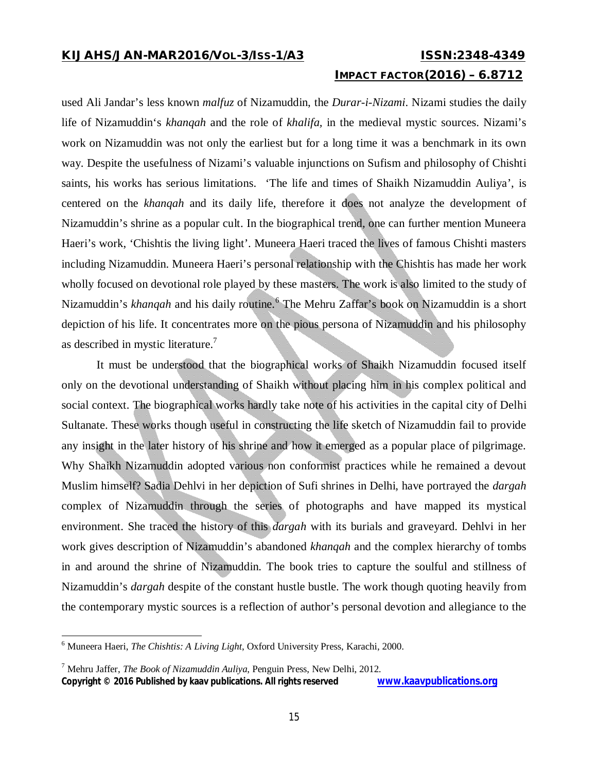# **IMPACT FACTOR(2016) – 6.8712**

used Ali Jandar's less known *malfuz* of Nizamuddin, the *Durar-i-Nizami*. Nizami studies the daily life of Nizamuddin's *khanqah* and the role of *khalifa,* in the medieval mystic sources. Nizami's work on Nizamuddin was not only the earliest but for a long time it was a benchmark in its own way. Despite the usefulness of Nizami's valuable injunctions on Sufism and philosophy of Chishti saints, his works has serious limitations. 'The life and times of Shaikh Nizamuddin Auliya', is centered on the *khanqah* and its daily life, therefore it does not analyze the development of Nizamuddin's shrine as a popular cult. In the biographical trend, one can further mention Muneera Haeri's work, 'Chishtis the living light'. Muneera Haeri traced the lives of famous Chishti masters including Nizamuddin. Muneera Haeri's personal relationship with the Chishtis has made her work wholly focused on devotional role played by these masters. The work is also limited to the study of Nizamuddin's *khanqah* and his daily routine. <sup>6</sup> The Mehru Zaffar's book on Nizamuddin is a short depiction of his life. It concentrates more on the pious persona of Nizamuddin and his philosophy as described in mystic literature.<sup>7</sup>

It must be understood that the biographical works of Shaikh Nizamuddin focused itself only on the devotional understanding of Shaikh without placing him in his complex political and social context. The biographical works hardly take note of his activities in the capital city of Delhi Sultanate. These works though useful in constructing the life sketch of Nizamuddin fail to provide any insight in the later history of his shrine and how it emerged as a popular place of pilgrimage. Why Shaikh Nizamuddin adopted various non conformist practices while he remained a devout Muslim himself? Sadia Dehlvi in her depiction of Sufi shrines in Delhi, have portrayed the *dargah* complex of Nizamuddin through the series of photographs and have mapped its mystical environment. She traced the history of this *dargah* with its burials and graveyard. Dehlvi in her work gives description of Nizamuddin's abandoned *khanqah* and the complex hierarchy of tombs in and around the shrine of Nizamuddin. The book tries to capture the soulful and stillness of Nizamuddin's *dargah* despite of the constant hustle bustle. The work though quoting heavily from the contemporary mystic sources is a reflection of author's personal devotion and allegiance to the

 $\overline{a}$ 

<sup>6</sup> Muneera Haeri, *The Chishtis: A Living Light*, Oxford University Press, Karachi, 2000.

<sup>7</sup> Mehru Jaffer, *The Book of Nizamuddin Auliya*, Penguin Press, New Delhi, 2012.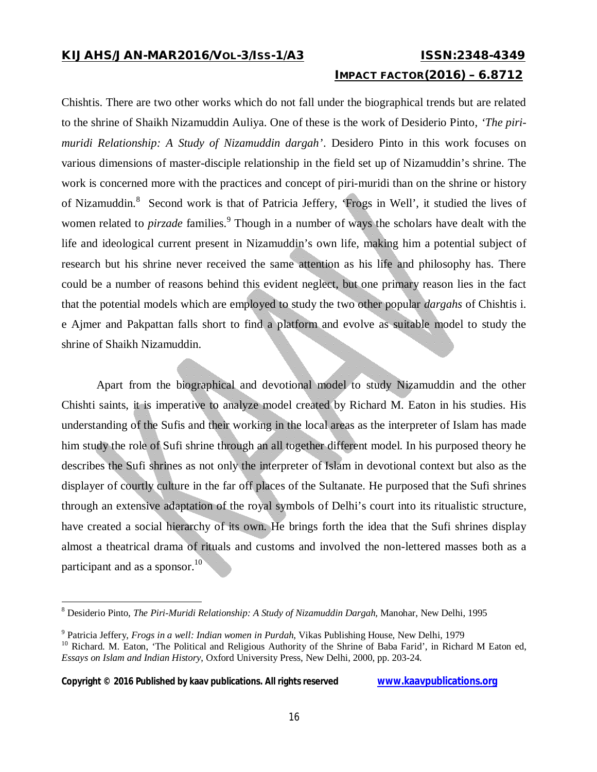# **IMPACT FACTOR(2016) – 6.8712**

Chishtis. There are two other works which do not fall under the biographical trends but are related to the shrine of Shaikh Nizamuddin Auliya. One of these is the work of Desiderio Pinto, *'The pirimuridi Relationship: A Study of Nizamuddin dargah'*. Desidero Pinto in this work focuses on various dimensions of master-disciple relationship in the field set up of Nizamuddin's shrine. The work is concerned more with the practices and concept of piri-muridi than on the shrine or history of Nizamuddin.<sup>8</sup> Second work is that of Patricia Jeffery, 'Frogs in Well', it studied the lives of women related to *pirzade* families.<sup>9</sup> Though in a number of ways the scholars have dealt with the life and ideological current present in Nizamuddin's own life, making him a potential subject of research but his shrine never received the same attention as his life and philosophy has. There could be a number of reasons behind this evident neglect, but one primary reason lies in the fact that the potential models which are employed to study the two other popular *dargahs* of Chishtis i. e Ajmer and Pakpattan falls short to find a platform and evolve as suitable model to study the shrine of Shaikh Nizamuddin.

Apart from the biographical and devotional model to study Nizamuddin and the other Chishti saints, it is imperative to analyze model created by Richard M. Eaton in his studies. His understanding of the Sufis and their working in the local areas as the interpreter of Islam has made him study the role of Sufi shrine through an all together different model. In his purposed theory he describes the Sufi shrines as not only the interpreter of Islam in devotional context but also as the displayer of courtly culture in the far off places of the Sultanate. He purposed that the Sufi shrines through an extensive adaptation of the royal symbols of Delhi's court into its ritualistic structure, have created a social hierarchy of its own. He brings forth the idea that the Sufi shrines display almost a theatrical drama of rituals and customs and involved the non-lettered masses both as a participant and as a sponsor. $10<sup>10</sup>$ 

### Copyright © 2016 Published by kaav publications. All rights reserved **WWW.kaavpublications.org**

<sup>8</sup> Desiderio Pinto, *The Piri-Muridi Relationship: A Study of Nizamuddin Dargah,* Manohar, New Delhi, 1995

<sup>9</sup> Patricia Jeffery, *Frogs in a well: Indian women in Purdah*, Vikas Publishing House, New Delhi, 1979

<sup>&</sup>lt;sup>10</sup> Richard. M. Eaton, 'The Political and Religious Authority of the Shrine of Baba Farid', in Richard M Eaton ed, *Essays on Islam and Indian History*, Oxford University Press, New Delhi, 2000, pp. 203-24.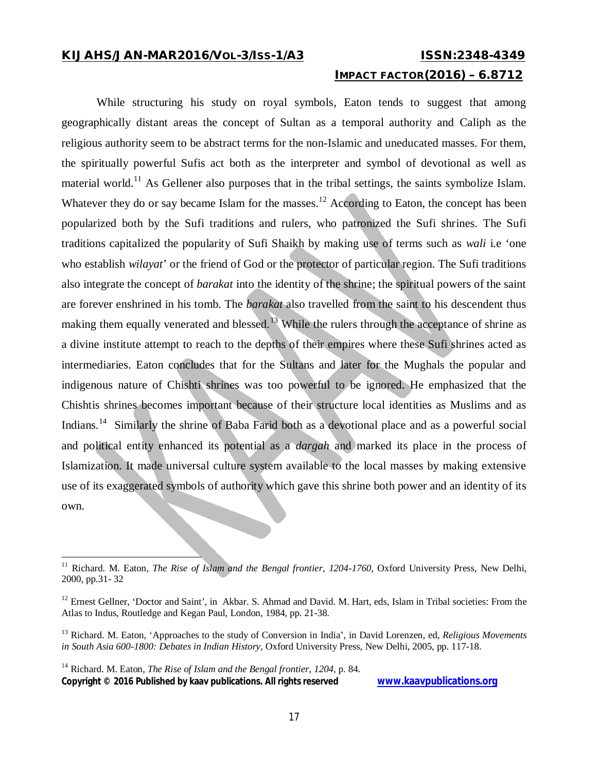### **IMPACT FACTOR(2016) – 6.8712**

While structuring his study on royal symbols, Eaton tends to suggest that among geographically distant areas the concept of Sultan as a temporal authority and Caliph as the religious authority seem to be abstract terms for the non-Islamic and uneducated masses. For them, the spiritually powerful Sufis act both as the interpreter and symbol of devotional as well as material world.<sup>11</sup> As Gellener also purposes that in the tribal settings, the saints symbolize Islam. Whatever they do or say became Islam for the masses.<sup>12</sup> According to Eaton, the concept has been popularized both by the Sufi traditions and rulers, who patronized the Sufi shrines. The Sufi traditions capitalized the popularity of Sufi Shaikh by making use of terms such as *wali* i.e 'one who establish *wilayat*' or the friend of God or the protector of particular region. The Sufi traditions also integrate the concept of *barakat* into the identity of the shrine; the spiritual powers of the saint are forever enshrined in his tomb. The *barakat* also travelled from the saint to his descendent thus making them equally venerated and blessed.<sup>13</sup> While the rulers through the acceptance of shrine as a divine institute attempt to reach to the depths of their empires where these Sufi shrines acted as intermediaries. Eaton concludes that for the Sultans and later for the Mughals the popular and indigenous nature of Chishti shrines was too powerful to be ignored. He emphasized that the Chishtis shrines becomes important because of their structure local identities as Muslims and as Indians.<sup>14</sup> Similarly the shrine of Baba Farid both as a devotional place and as a powerful social and political entity enhanced its potential as a *dargah* and marked its place in the process of Islamization. It made universal culture system available to the local masses by making extensive use of its exaggerated symbols of authority which gave this shrine both power and an identity of its own.

 $11$ <sup>11</sup> Richard. M. Eaton, *The Rise of Islam and the Bengal frontier, 1204-1760,* Oxford University Press, New Delhi, 2000, pp.31- 32

<sup>&</sup>lt;sup>12</sup> Ernest Gellner, 'Doctor and Saint', in Akbar. S. Ahmad and David. M. Hart, eds, Islam in Tribal societies: From the Atlas to Indus, Routledge and Kegan Paul, London, 1984, pp. 21-38.

<sup>13</sup> Richard. M. Eaton, 'Approaches to the study of Conversion in India', in David Lorenzen, ed, *Religious Movements in South Asia 600-1800: Debates in Indian History*, Oxford University Press, New Delhi, 2005, pp. 117-18.

**Copyright © 2016 Published by kaav publications. All rights reserved www.kaavpublications.org**  <sup>14</sup> Richard. M. Eaton, *The Rise of Islam and the Bengal frontier*, 1204, p. 84.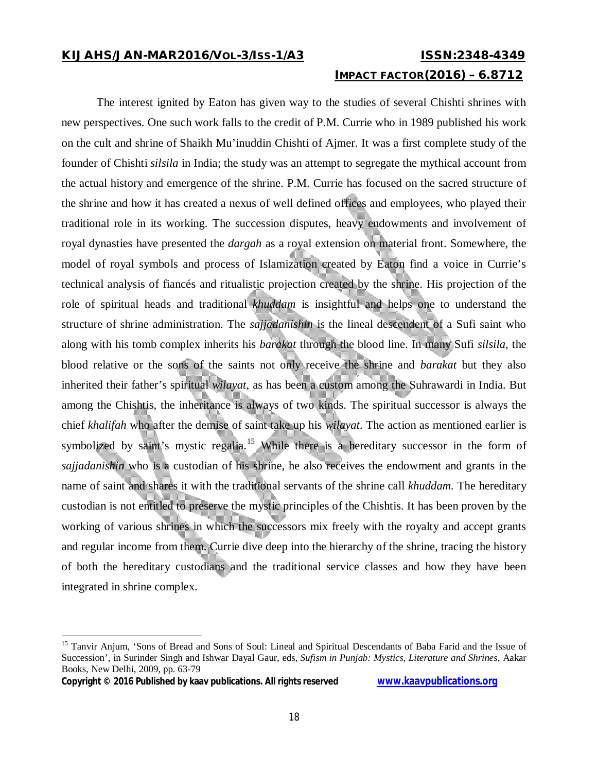# **IMPACT FACTOR(2016) – 6.8712**

The interest ignited by Eaton has given way to the studies of several Chishti shrines with new perspectives. One such work falls to the credit of P.M. Currie who in 1989 published his work on the cult and shrine of Shaikh Mu'inuddin Chishti of Ajmer. It was a first complete study of the founder of Chishti *silsila* in India; the study was an attempt to segregate the mythical account from the actual history and emergence of the shrine. P.M. Currie has focused on the sacred structure of the shrine and how it has created a nexus of well defined offices and employees, who played their traditional role in its working. The succession disputes, heavy endowments and involvement of royal dynasties have presented the *dargah* as a royal extension on material front. Somewhere, the model of royal symbols and process of Islamization created by Eaton find a voice in Currie's technical analysis of fiancés and ritualistic projection created by the shrine. His projection of the role of spiritual heads and traditional *khuddam* is insightful and helps one to understand the structure of shrine administration. The *sajjadanishin* is the lineal descendent of a Sufi saint who along with his tomb complex inherits his *barakat* through the blood line. In many Sufi *silsila,* the blood relative or the sons of the saints not only receive the shrine and *barakat* but they also inherited their father's spiritual *wilayat*, as has been a custom among the Suhrawardi in India. But among the Chishtis, the inheritance is always of two kinds. The spiritual successor is always the chief *khalifah* who after the demise of saint take up his *wilayat*. The action as mentioned earlier is symbolized by saint's mystic regalia.<sup>15</sup> While there is a hereditary successor in the form of *sajjadanishin* who is a custodian of his shrine, he also receives the endowment and grants in the name of saint and shares it with the traditional servants of the shrine call *khuddam.* The hereditary custodian is not entitled to preserve the mystic principles of the Chishtis. It has been proven by the working of various shrines in which the successors mix freely with the royalty and accept grants and regular income from them. Currie dive deep into the hierarchy of the shrine, tracing the history of both the hereditary custodians and the traditional service classes and how they have been integrated in shrine complex.

**Copyright © 2016 Published by kaav publications. All rights reserved www.kaavpublications.org** 

<sup>&</sup>lt;sup>15</sup> Tanvir Anjum, 'Sons of Bread and Sons of Soul: Lineal and Spiritual Descendants of Baba Farid and the Issue of Succession', in Surinder Singh and Ishwar Dayal Gaur, eds, *Sufism in Punjab: Mystics, Literature and Shrines*, Aakar Books, New Delhi, 2009, pp. 63-79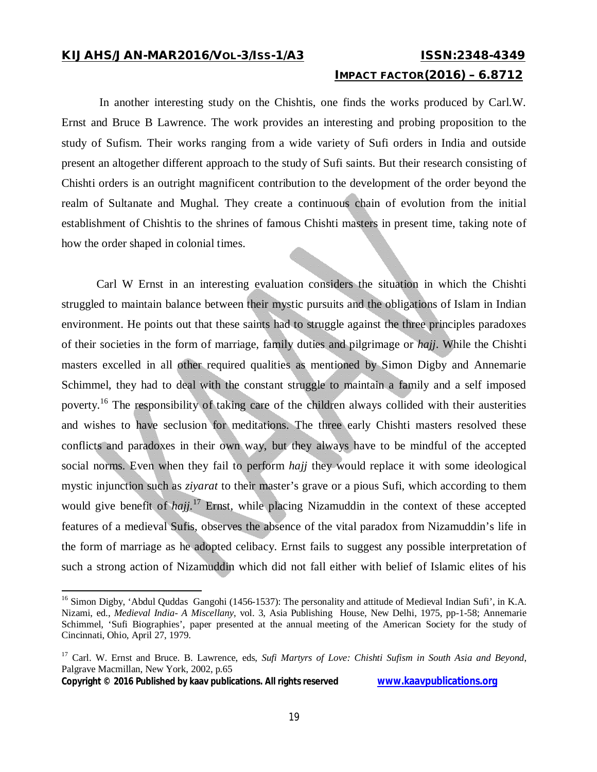### **IMPACT FACTOR(2016) – 6.8712**

In another interesting study on the Chishtis, one finds the works produced by Carl.W. Ernst and Bruce B Lawrence. The work provides an interesting and probing proposition to the study of Sufism. Their works ranging from a wide variety of Sufi orders in India and outside present an altogether different approach to the study of Sufi saints. But their research consisting of Chishti orders is an outright magnificent contribution to the development of the order beyond the realm of Sultanate and Mughal. They create a continuous chain of evolution from the initial establishment of Chishtis to the shrines of famous Chishti masters in present time, taking note of how the order shaped in colonial times.

Carl W Ernst in an interesting evaluation considers the situation in which the Chishti struggled to maintain balance between their mystic pursuits and the obligations of Islam in Indian environment. He points out that these saints had to struggle against the three principles paradoxes of their societies in the form of marriage, family duties and pilgrimage or *hajj*. While the Chishti masters excelled in all other required qualities as mentioned by Simon Digby and Annemarie Schimmel, they had to deal with the constant struggle to maintain a family and a self imposed poverty.<sup>16</sup> The responsibility of taking care of the children always collided with their austerities and wishes to have seclusion for meditations. The three early Chishti masters resolved these conflicts and paradoxes in their own way, but they always have to be mindful of the accepted social norms. Even when they fail to perform *hajj* they would replace it with some ideological mystic injunction such as *ziyarat* to their master's grave or a pious Sufi, which according to them would give benefit of *haji*.<sup>17</sup> Ernst, while placing Nizamuddin in the context of these accepted features of a medieval Sufis, observes the absence of the vital paradox from Nizamuddin's life in the form of marriage as he adopted celibacy. Ernst fails to suggest any possible interpretation of such a strong action of Nizamuddin which did not fall either with belief of Islamic elites of his

**Copyright © 2016 Published by kaav publications. All rights reserved www.kaavpublications.org** 

<sup>&</sup>lt;sup>16</sup> Simon Digby, 'Abdul Quddas Gangohi (1456-1537): The personality and attitude of Medieval Indian Sufi', in K.A. Nizami, ed., *Medieval India- A Miscellany*, vol. 3, Asia Publishing House, New Delhi, 1975, pp-1-58; Annemarie Schimmel, 'Sufi Biographies', paper presented at the annual meeting of the American Society for the study of Cincinnati, Ohio, April 27, 1979.

<sup>&</sup>lt;sup>17</sup> Carl. W. Ernst and Bruce. B. Lawrence, eds, *Sufi Martyrs of Love: Chishti Sufism in South Asia and Beyond*, Palgrave Macmillan, New York, 2002, p.65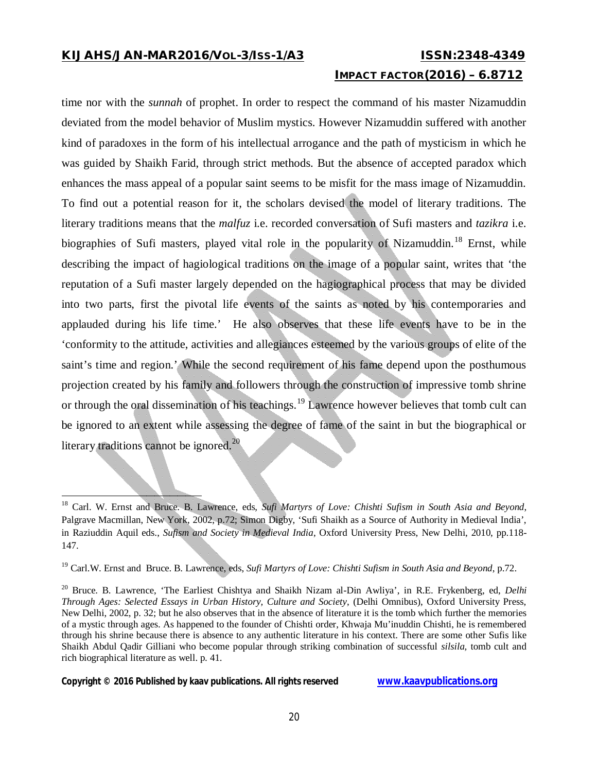# **IMPACT FACTOR(2016) – 6.8712**

time nor with the *sunnah* of prophet. In order to respect the command of his master Nizamuddin deviated from the model behavior of Muslim mystics. However Nizamuddin suffered with another kind of paradoxes in the form of his intellectual arrogance and the path of mysticism in which he was guided by Shaikh Farid, through strict methods. But the absence of accepted paradox which enhances the mass appeal of a popular saint seems to be misfit for the mass image of Nizamuddin. To find out a potential reason for it, the scholars devised the model of literary traditions. The literary traditions means that the *malfuz* i.e. recorded conversation of Sufi masters and *tazikra* i.e. biographies of Sufi masters, played vital role in the popularity of Nizamuddin.<sup>18</sup> Ernst, while describing the impact of hagiological traditions on the image of a popular saint, writes that 'the reputation of a Sufi master largely depended on the hagiographical process that may be divided into two parts, first the pivotal life events of the saints as noted by his contemporaries and applauded during his life time.' He also observes that these life events have to be in the 'conformity to the attitude, activities and allegiances esteemed by the various groups of elite of the saint's time and region.' While the second requirement of his fame depend upon the posthumous projection created by his family and followers through the construction of impressive tomb shrine or through the oral dissemination of his teachings.<sup>19</sup> Lawrence however believes that tomb cult can be ignored to an extent while assessing the degree of fame of the saint in but the biographical or literary traditions cannot be ignored.<sup>20</sup>

**Copyright © 2016 Published by kaav publications. All rights reserved www.kaavpublications.org** 

<sup>18</sup> Carl. W. Ernst and Bruce. B. Lawrence, eds, *Sufi Martyrs of Love: Chishti Sufism in South Asia and Beyond*, Palgrave Macmillan, New York, 2002, p.72; Simon Digby, 'Sufi Shaikh as a Source of Authority in Medieval India', in Raziuddin Aquil eds., *Sufism and Society in Medieval India*, Oxford University Press, New Delhi, 2010, pp.118- 147.

<sup>19</sup> Carl.W. Ernst and Bruce. B. Lawrence, eds, *Sufi Martyrs of Love: Chishti Sufism in South Asia and Beyond*, p.72.

<sup>20</sup> Bruce. B. Lawrence, 'The Earliest Chishtya and Shaikh Nizam al-Din Awliya', in R.E. Frykenberg, ed, *Delhi Through Ages: Selected Essays in Urban History, Culture and Society*, (Delhi Omnibus), Oxford University Press, New Delhi, 2002, p. 32; but he also observes that in the absence of literature it is the tomb which further the memories of a mystic through ages. As happened to the founder of Chishti order, Khwaja Mu'inuddin Chishti, he is remembered through his shrine because there is absence to any authentic literature in his context. There are some other Sufis like Shaikh Abdul Qadir Gilliani who become popular through striking combination of successful *silsila,* tomb cult and rich biographical literature as well. p. 41.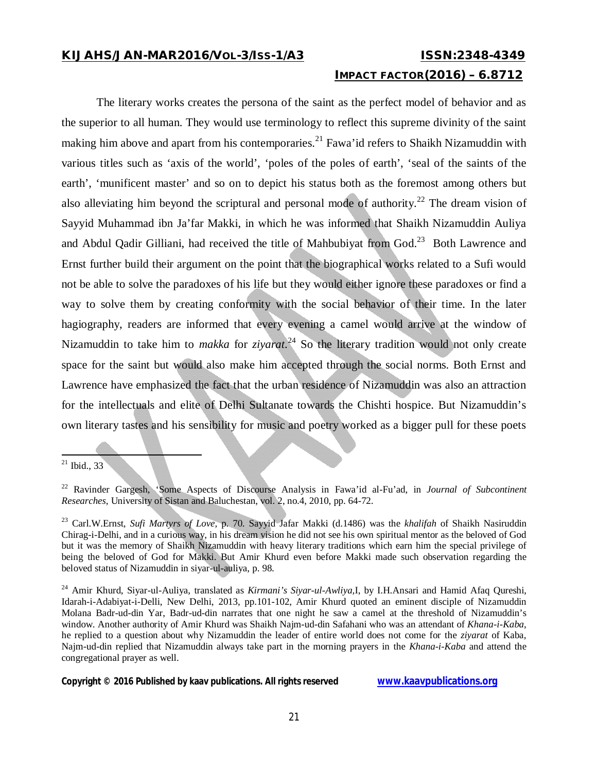# **IMPACT FACTOR(2016) – 6.8712**

The literary works creates the persona of the saint as the perfect model of behavior and as the superior to all human. They would use terminology to reflect this supreme divinity of the saint making him above and apart from his contemporaries.<sup>21</sup> Fawa'id refers to Shaikh Nizamuddin with various titles such as 'axis of the world', 'poles of the poles of earth', 'seal of the saints of the earth', 'munificent master' and so on to depict his status both as the foremost among others but also alleviating him beyond the scriptural and personal mode of authority.<sup>22</sup> The dream vision of Sayyid Muhammad ibn Ja'far Makki, in which he was informed that Shaikh Nizamuddin Auliya and Abdul Qadir Gilliani, had received the title of Mahbubiyat from God. $^{23}$  Both Lawrence and Ernst further build their argument on the point that the biographical works related to a Sufi would not be able to solve the paradoxes of his life but they would either ignore these paradoxes or find a way to solve them by creating conformity with the social behavior of their time. In the later hagiography, readers are informed that every evening a camel would arrive at the window of Nizamuddin to take him to *makka* for *ziyarat*. <sup>24</sup> So the literary tradition would not only create space for the saint but would also make him accepted through the social norms. Both Ernst and Lawrence have emphasized the fact that the urban residence of Nizamuddin was also an attraction for the intellectuals and elite of Delhi Sultanate towards the Chishti hospice. But Nizamuddin's own literary tastes and his sensibility for music and poetry worked as a bigger pull for these poets

 $\overline{a}$ 

 $21$  Ibid., 33

<sup>22</sup> Ravinder Gargesh, 'Some Aspects of Discourse Analysis in Fawa'id al-Fu'ad, in *Journal of Subcontinent Researches*, University of Sistan and Baluchestan, vol. 2, no.4, 2010, pp. 64-72.

<sup>23</sup> Carl.W.Ernst, *Sufi Martyrs of Love,* p. 70. Sayyid Jafar Makki (d.1486) was the *khalifah* of Shaikh Nasiruddin Chirag-i-Delhi, and in a curious way, in his dream vision he did not see his own spiritual mentor as the beloved of God but it was the memory of Shaikh Nizamuddin with heavy literary traditions which earn him the special privilege of being the beloved of God for Makki. But Amir Khurd even before Makki made such observation regarding the beloved status of Nizamuddin in siyar-ul-auliya, p. 98.

<sup>24</sup> Amir Khurd, Siyar-ul-Auliya, translated as *Kirmani's Siyar-ul-Awliya,*I, by I.H.Ansari and Hamid Afaq Qureshi, Idarah-i-Adabiyat-i-Delli, New Delhi, 2013, pp.101-102, Amir Khurd quoted an eminent disciple of Nizamuddin Molana Badr-ud-din Yar, Badr-ud-din narrates that one night he saw a camel at the threshold of Nizamuddin's window. Another authority of Amir Khurd was Shaikh Najm-ud-din Safahani who was an attendant of *Khana-i-Kaba*, he replied to a question about why Nizamuddin the leader of entire world does not come for the *ziyarat* of Kaba, Najm-ud-din replied that Nizamuddin always take part in the morning prayers in the *Khana-i-Kaba* and attend the congregational prayer as well.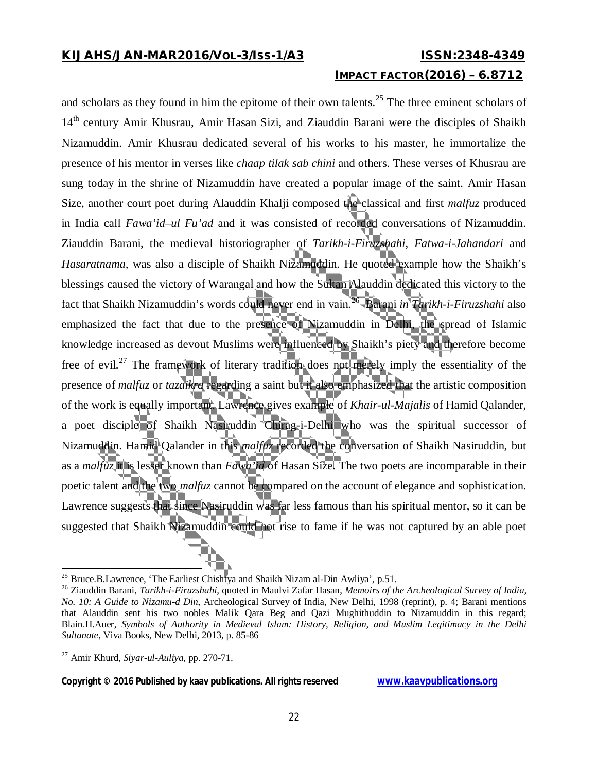# **IMPACT FACTOR(2016) – 6.8712**

and scholars as they found in him the epitome of their own talents.<sup>25</sup> The three eminent scholars of 14th century Amir Khusrau, Amir Hasan Sizi, and Ziauddin Barani were the disciples of Shaikh Nizamuddin. Amir Khusrau dedicated several of his works to his master, he immortalize the presence of his mentor in verses like *chaap tilak sab chini* and others. These verses of Khusrau are sung today in the shrine of Nizamuddin have created a popular image of the saint. Amir Hasan Size, another court poet during Alauddin Khalji composed the classical and first *malfuz* produced in India call *Fawa'id–ul Fu'ad* and it was consisted of recorded conversations of Nizamuddin. Ziauddin Barani, the medieval historiographer of *Tarikh-i-Firuzshahi, Fatwa-i-Jahandari* and *Hasaratnama,* was also a disciple of Shaikh Nizamuddin. He quoted example how the Shaikh's blessings caused the victory of Warangal and how the Sultan Alauddin dedicated this victory to the fact that Shaikh Nizamuddin's words could never end in vain.<sup>26</sup> Barani *in Tarikh-i-Firuzshahi* also emphasized the fact that due to the presence of Nizamuddin in Delhi, the spread of Islamic knowledge increased as devout Muslims were influenced by Shaikh's piety and therefore become free of evil.<sup>27</sup> The framework of literary tradition does not merely imply the essentiality of the presence of *malfuz* or *tazaikra* regarding a saint but it also emphasized that the artistic composition of the work is equally important. Lawrence gives example of *Khair-ul-Majalis* of Hamid Qalander, a poet disciple of Shaikh Nasiruddin Chirag-i-Delhi who was the spiritual successor of Nizamuddin. Hamid Qalander in this *malfuz* recorded the conversation of Shaikh Nasiruddin, but as a *malfuz* it is lesser known than *Fawa'id* of Hasan Size. The two poets are incomparable in their poetic talent and the two *malfuz* cannot be compared on the account of elegance and sophistication. Lawrence suggests that since Nasiruddin was far less famous than his spiritual mentor, so it can be suggested that Shaikh Nizamuddin could not rise to fame if he was not captured by an able poet

 $\overline{\phantom{a}}$ 

<sup>&</sup>lt;sup>25</sup> Bruce.B.Lawrence, 'The Earliest Chishtya and Shaikh Nizam al-Din Awliya', p.51.

<sup>26</sup> Ziauddin Barani, *Tarikh-i-Firuzshahi,* quoted in Maulvi Zafar Hasan, *Memoirs of the Archeological Survey of India, No. 10: A Guide to Nizamu-d Din*, Archeological Survey of India, New Delhi, 1998 (reprint), p. 4; Barani mentions that Alauddin sent his two nobles Malik Qara Beg and Qazi Mughithuddin to Nizamuddin in this regard; Blain.H.Auer, *Symbols of Authority in Medieval Islam: History, Religion, and Muslim Legitimacy in the Delhi Sultanate*, Viva Books, New Delhi, 2013, p. 85-86

<sup>27</sup> Amir Khurd, *Siyar-ul-Auliya*, pp. 270-71.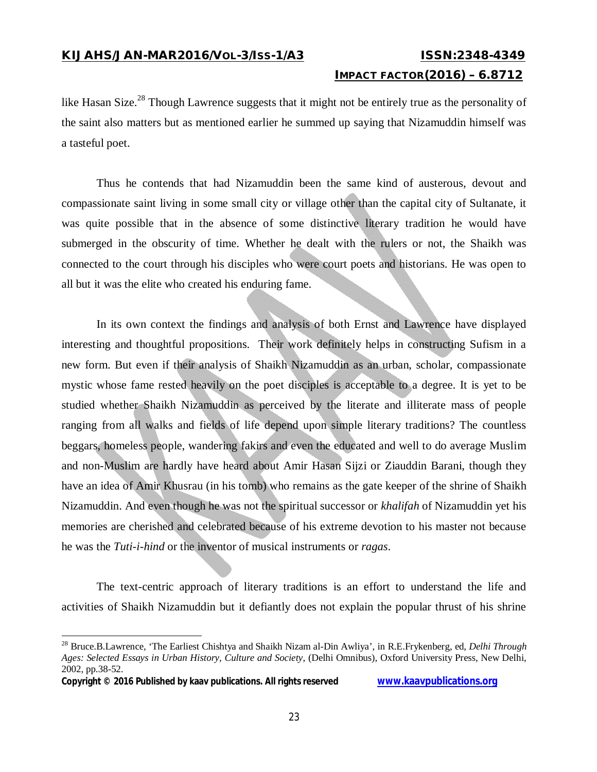## **IMPACT FACTOR(2016) – 6.8712**

like Hasan Size.<sup>28</sup> Though Lawrence suggests that it might not be entirely true as the personality of the saint also matters but as mentioned earlier he summed up saying that Nizamuddin himself was a tasteful poet.

Thus he contends that had Nizamuddin been the same kind of austerous, devout and compassionate saint living in some small city or village other than the capital city of Sultanate, it was quite possible that in the absence of some distinctive literary tradition he would have submerged in the obscurity of time. Whether he dealt with the rulers or not, the Shaikh was connected to the court through his disciples who were court poets and historians. He was open to all but it was the elite who created his enduring fame.

In its own context the findings and analysis of both Ernst and Lawrence have displayed interesting and thoughtful propositions. Their work definitely helps in constructing Sufism in a new form. But even if their analysis of Shaikh Nizamuddin as an urban, scholar, compassionate mystic whose fame rested heavily on the poet disciples is acceptable to a degree. It is yet to be studied whether Shaikh Nizamuddin as perceived by the literate and illiterate mass of people ranging from all walks and fields of life depend upon simple literary traditions? The countless beggars, homeless people, wandering fakirs and even the educated and well to do average Muslim and non-Muslim are hardly have heard about Amir Hasan Sijzi or Ziauddin Barani, though they have an idea of Amir Khusrau (in his tomb) who remains as the gate keeper of the shrine of Shaikh Nizamuddin. And even though he was not the spiritual successor or *khalifah* of Nizamuddin yet his memories are cherished and celebrated because of his extreme devotion to his master not because he was the *Tuti-i-hind* or the inventor of musical instruments or *ragas*.

The text-centric approach of literary traditions is an effort to understand the life and activities of Shaikh Nizamuddin but it defiantly does not explain the popular thrust of his shrine

**Copyright © 2016 Published by kaav publications. All rights reserved www.kaavpublications.org** 

<sup>28</sup> Bruce.B.Lawrence, 'The Earliest Chishtya and Shaikh Nizam al-Din Awliya', in R.E.Frykenberg, ed, *Delhi Through Ages: Selected Essays in Urban History, Culture and Society*, (Delhi Omnibus), Oxford University Press, New Delhi, 2002, pp.38-52.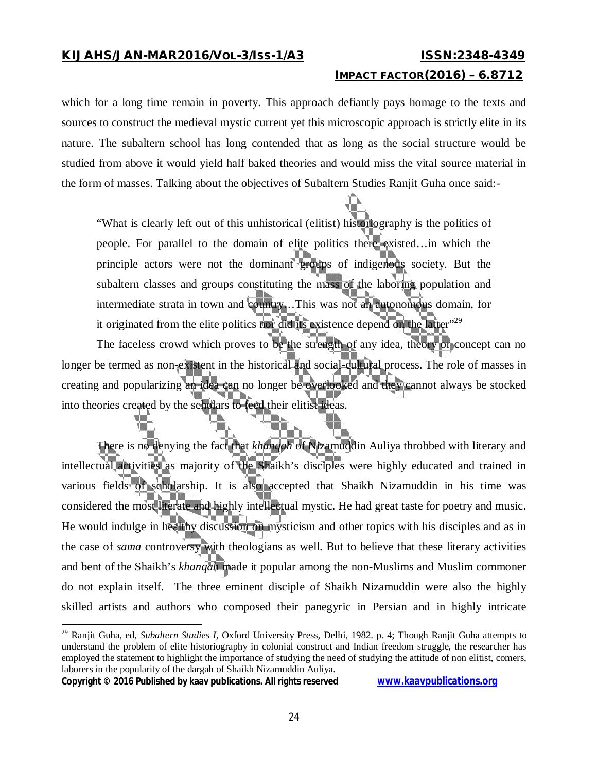## **IMPACT FACTOR(2016) – 6.8712**

which for a long time remain in poverty. This approach defiantly pays homage to the texts and sources to construct the medieval mystic current yet this microscopic approach is strictly elite in its nature. The subaltern school has long contended that as long as the social structure would be studied from above it would yield half baked theories and would miss the vital source material in the form of masses. Talking about the objectives of Subaltern Studies Ranjit Guha once said:-

"What is clearly left out of this unhistorical (elitist) historiography is the politics of people. For parallel to the domain of elite politics there existed…in which the principle actors were not the dominant groups of indigenous society. But the subaltern classes and groups constituting the mass of the laboring population and intermediate strata in town and country…This was not an autonomous domain, for it originated from the elite politics nor did its existence depend on the latter"<sup>29</sup>

The faceless crowd which proves to be the strength of any idea, theory or concept can no longer be termed as non-existent in the historical and social-cultural process. The role of masses in creating and popularizing an idea can no longer be overlooked and they cannot always be stocked into theories created by the scholars to feed their elitist ideas.

There is no denying the fact that *khanqah* of Nizamuddin Auliya throbbed with literary and intellectual activities as majority of the Shaikh's disciples were highly educated and trained in various fields of scholarship. It is also accepted that Shaikh Nizamuddin in his time was considered the most literate and highly intellectual mystic. He had great taste for poetry and music. He would indulge in healthy discussion on mysticism and other topics with his disciples and as in the case of *sama* controversy with theologians as well. But to believe that these literary activities and bent of the Shaikh's *khanqah* made it popular among the non-Muslims and Muslim commoner do not explain itself. The three eminent disciple of Shaikh Nizamuddin were also the highly skilled artists and authors who composed their panegyric in Persian and in highly intricate

```
Copyright © 2016 Published by kaav publications. All rights reserved www.kaavpublications.org
```
<sup>29</sup> Ranjit Guha, ed, *Subaltern Studies I*, Oxford University Press, Delhi, 1982. p. 4; Though Ranjit Guha attempts to understand the problem of elite historiography in colonial construct and Indian freedom struggle, the researcher has employed the statement to highlight the importance of studying the need of studying the attitude of non elitist, comers, laborers in the popularity of the dargah of Shaikh Nizamuddin Auliya.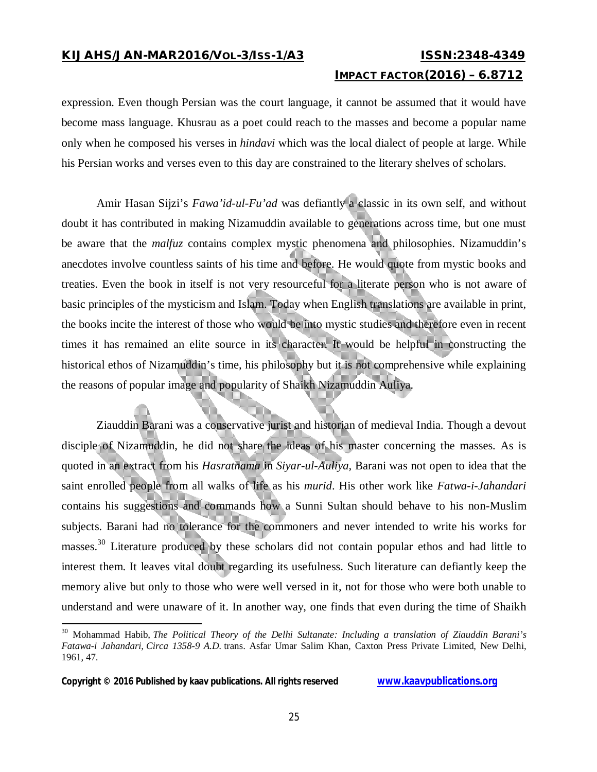## **IMPACT FACTOR(2016) – 6.8712**

expression. Even though Persian was the court language, it cannot be assumed that it would have become mass language. Khusrau as a poet could reach to the masses and become a popular name only when he composed his verses in *hindavi* which was the local dialect of people at large. While his Persian works and verses even to this day are constrained to the literary shelves of scholars.

Amir Hasan Sijzi's *Fawa'id-ul-Fu'ad* was defiantly a classic in its own self, and without doubt it has contributed in making Nizamuddin available to generations across time, but one must be aware that the *malfuz* contains complex mystic phenomena and philosophies. Nizamuddin's anecdotes involve countless saints of his time and before. He would quote from mystic books and treaties. Even the book in itself is not very resourceful for a literate person who is not aware of basic principles of the mysticism and Islam. Today when English translations are available in print, the books incite the interest of those who would be into mystic studies and therefore even in recent times it has remained an elite source in its character. It would be helpful in constructing the historical ethos of Nizamuddin's time, his philosophy but it is not comprehensive while explaining the reasons of popular image and popularity of Shaikh Nizamuddin Auliya.

Ziauddin Barani was a conservative jurist and historian of medieval India. Though a devout disciple of Nizamuddin, he did not share the ideas of his master concerning the masses. As is quoted in an extract from his *Hasratnama* in *Siyar-ul-Auliya,* Barani was not open to idea that the saint enrolled people from all walks of life as his *murid*. His other work like *Fatwa-i-Jahandari* contains his suggestions and commands how a Sunni Sultan should behave to his non-Muslim subjects. Barani had no tolerance for the commoners and never intended to write his works for masses.<sup>30</sup> Literature produced by these scholars did not contain popular ethos and had little to interest them. It leaves vital doubt regarding its usefulness. Such literature can defiantly keep the memory alive but only to those who were well versed in it, not for those who were both unable to understand and were unaware of it. In another way, one finds that even during the time of Shaikh

 $\overline{\phantom{a}}$ 

<sup>30</sup> Mohammad Habib, *The Political Theory of the Delhi Sultanate: Including a translation of Ziauddin Barani's Fatawa-i Jahandari, Circa 1358-9 A.D.* trans. Asfar Umar Salim Khan, Caxton Press Private Limited, New Delhi, 1961, 47.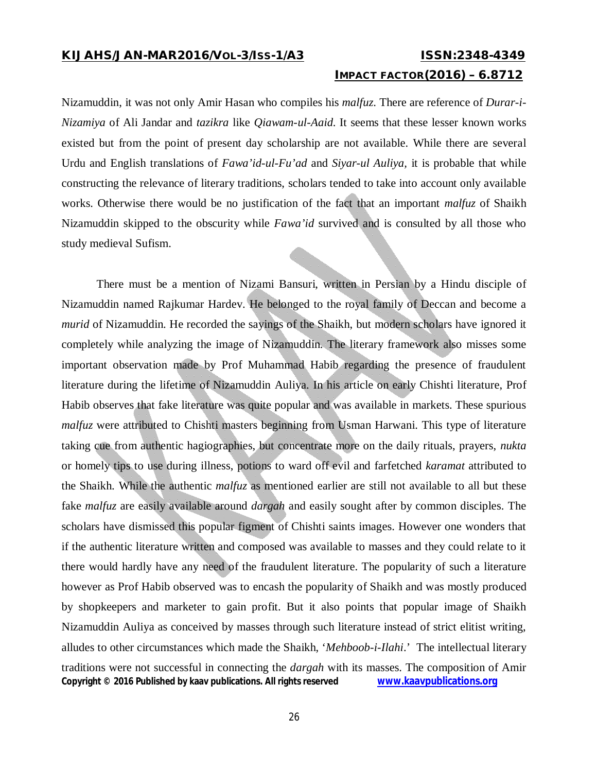### **IMPACT FACTOR(2016) – 6.8712**

Nizamuddin, it was not only Amir Hasan who compiles his *malfuz*. There are reference of *Durar-i-Nizamiya* of Ali Jandar and *tazikra* like *Qiawam-ul-Aaid*. It seems that these lesser known works existed but from the point of present day scholarship are not available. While there are several Urdu and English translations of *Fawa'id-ul-Fu'ad* and *Siyar-ul Auliya,* it is probable that while constructing the relevance of literary traditions, scholars tended to take into account only available works. Otherwise there would be no justification of the fact that an important *malfuz* of Shaikh Nizamuddin skipped to the obscurity while *Fawa'id* survived and is consulted by all those who study medieval Sufism.

**Copyright © 2016 Published by kaav publications. All rights reserved www.kaavpublications.org**  There must be a mention of Nizami Bansuri, written in Persian by a Hindu disciple of Nizamuddin named Rajkumar Hardev. He belonged to the royal family of Deccan and become a *murid* of Nizamuddin. He recorded the sayings of the Shaikh, but modern scholars have ignored it completely while analyzing the image of Nizamuddin. The literary framework also misses some important observation made by Prof Muhammad Habib regarding the presence of fraudulent literature during the lifetime of Nizamuddin Auliya. In his article on early Chishti literature, Prof Habib observes that fake literature was quite popular and was available in markets. These spurious *malfuz* were attributed to Chishti masters beginning from Usman Harwani. This type of literature taking cue from authentic hagiographies, but concentrate more on the daily rituals, prayers, *nukta* or homely tips to use during illness, potions to ward off evil and farfetched *karamat* attributed to the Shaikh. While the authentic *malfuz* as mentioned earlier are still not available to all but these fake *malfuz* are easily available around *dargah* and easily sought after by common disciples. The scholars have dismissed this popular figment of Chishti saints images. However one wonders that if the authentic literature written and composed was available to masses and they could relate to it there would hardly have any need of the fraudulent literature. The popularity of such a literature however as Prof Habib observed was to encash the popularity of Shaikh and was mostly produced by shopkeepers and marketer to gain profit. But it also points that popular image of Shaikh Nizamuddin Auliya as conceived by masses through such literature instead of strict elitist writing, alludes to other circumstances which made the Shaikh, '*Mehboob-i-Ilahi*.' The intellectual literary traditions were not successful in connecting the *dargah* with its masses. The composition of Amir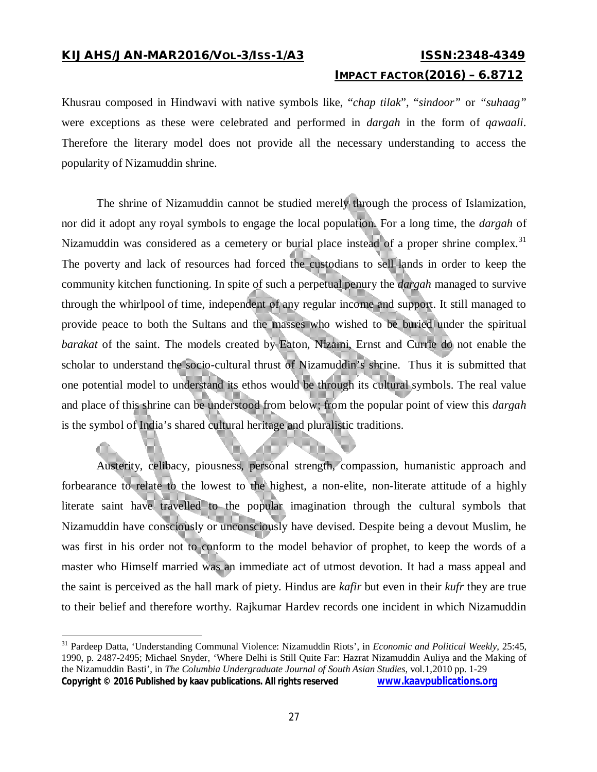$\overline{a}$ 

### **IMPACT FACTOR(2016) – 6.8712**

Khusrau composed in Hindwavi with native symbols like, "*chap tilak*", "*sindoor"* or *"suhaag"* were exceptions as these were celebrated and performed in *dargah* in the form of *qawaali*. Therefore the literary model does not provide all the necessary understanding to access the popularity of Nizamuddin shrine.

The shrine of Nizamuddin cannot be studied merely through the process of Islamization, nor did it adopt any royal symbols to engage the local population. For a long time, the *dargah* of Nizamuddin was considered as a cemetery or burial place instead of a proper shrine complex.<sup>31</sup> The poverty and lack of resources had forced the custodians to sell lands in order to keep the community kitchen functioning. In spite of such a perpetual penury the *dargah* managed to survive through the whirlpool of time, independent of any regular income and support. It still managed to provide peace to both the Sultans and the masses who wished to be buried under the spiritual *barakat* of the saint. The models created by Eaton, Nizami, Ernst and Currie do not enable the scholar to understand the socio-cultural thrust of Nizamuddin's shrine. Thus it is submitted that one potential model to understand its ethos would be through its cultural symbols. The real value and place of this shrine can be understood from below; from the popular point of view this *dargah* is the symbol of India's shared cultural heritage and pluralistic traditions.

Austerity, celibacy, piousness, personal strength, compassion, humanistic approach and forbearance to relate to the lowest to the highest, a non-elite, non-literate attitude of a highly literate saint have travelled to the popular imagination through the cultural symbols that Nizamuddin have consciously or unconsciously have devised. Despite being a devout Muslim, he was first in his order not to conform to the model behavior of prophet, to keep the words of a master who Himself married was an immediate act of utmost devotion. It had a mass appeal and the saint is perceived as the hall mark of piety. Hindus are *kafir* but even in their *kufr* they are true to their belief and therefore worthy. Rajkumar Hardev records one incident in which Nizamuddin

**Copyright © 2016 Published by kaav publications. All rights reserved www.kaavpublications.org**  <sup>31</sup> Pardeep Datta, 'Understanding Communal Violence: Nizamuddin Riots', in *Economic and Political Weekly*, 25:45, 1990, p. 2487-2495; Michael Snyder, 'Where Delhi is Still Quite Far: Hazrat Nizamuddin Auliya and the Making of the Nizamuddin Basti', in *The Columbia Undergraduate Journal of South Asian Studies*, vol.1,2010 pp. 1-29